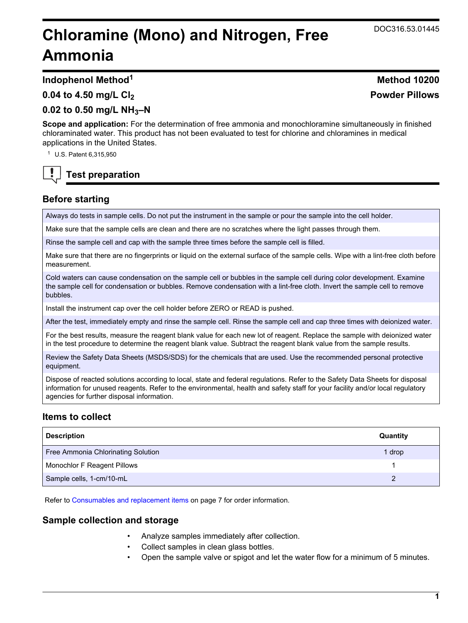# **Chloramine (Mono) and Nitrogen, Free Ammonia**

**Indophenol Method<sup>1</sup> Method 10200**

### **0.04 to 4.50 mg/L Cl<sup>2</sup>**

## **0.02 to 0.50 mg/L NH3–N**

**Scope and application:** For the determination of free ammonia and monochloramine simultaneously in finished chloraminated water. This product has not been evaluated to test for chlorine and chloramines in medical applications in the United States.

<sup>1</sup> U.S. Patent 6,315,950

## **Test preparation**

## **Before starting**

Always do tests in sample cells. Do not put the instrument in the sample or pour the sample into the cell holder.

Make sure that the sample cells are clean and there are no scratches where the light passes through them.

Rinse the sample cell and cap with the sample three times before the sample cell is filled.

Make sure that there are no fingerprints or liquid on the external surface of the sample cells. Wipe with a lint-free cloth before measurement.

Cold waters can cause condensation on the sample cell or bubbles in the sample cell during color development. Examine the sample cell for condensation or bubbles. Remove condensation with a lint-free cloth. Invert the sample cell to remove bubbles.

Install the instrument cap over the cell holder before ZERO or READ is pushed.

After the test, immediately empty and rinse the sample cell. Rinse the sample cell and cap three times with deionized water.

For the best results, measure the reagent blank value for each new lot of reagent. Replace the sample with deionized water in the test procedure to determine the reagent blank value. Subtract the reagent blank value from the sample results.

Review the Safety Data Sheets (MSDS/SDS) for the chemicals that are used. Use the recommended personal protective equipment.

Dispose of reacted solutions according to local, state and federal regulations. Refer to the Safety Data Sheets for disposal information for unused reagents. Refer to the environmental, health and safety staff for your facility and/or local regulatory agencies for further disposal information.

## **Items to collect**

| <b>Description</b>                 | Quantity |
|------------------------------------|----------|
| Free Ammonia Chlorinating Solution | 1 drop   |
| Monochlor F Reagent Pillows        |          |
| Sample cells, 1-cm/10-mL           |          |

Refer to [Consumables and replacement items](#page-6-0) on page 7 for order information.

## **Sample collection and storage**

- Analyze samples immediately after collection.
- Collect samples in clean glass bottles.
- Open the sample valve or spigot and let the water flow for a minimum of 5 minutes.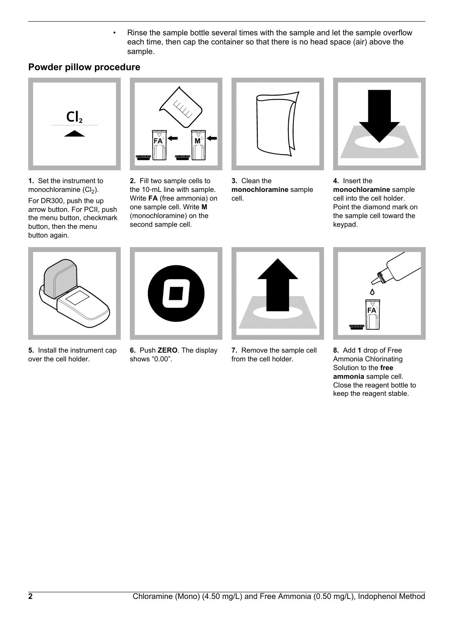• Rinse the sample bottle several times with the sample and let the sample overflow each time, then cap the container so that there is no head space (air) above the sample.

## **Powder pillow procedure**



**1.** Set the instrument to monochloramine  $(Cl<sub>2</sub>)$ . For DR300, push the up arrow button. For PCII, push the menu button, checkmark button, then the menu button again.



**2.** Fill two sample cells to the 10‑mL line with sample. Write **FA** (free ammonia) on one sample cell. Write **M** (monochloramine) on the second sample cell.



**3.** Clean the **monochloramine** sample cell.



**4.** Insert the **monochloramine** sample cell into the cell holder. Point the diamond mark on the sample cell toward the keypad.



**5.** Install the instrument cap over the cell holder.



**6.** Push **ZERO**. The display shows "0.00".



**7.** Remove the sample cell from the cell holder.



**8.** Add **1** drop of Free Ammonia Chlorinating Solution to the **free ammonia** sample cell. Close the reagent bottle to keep the reagent stable.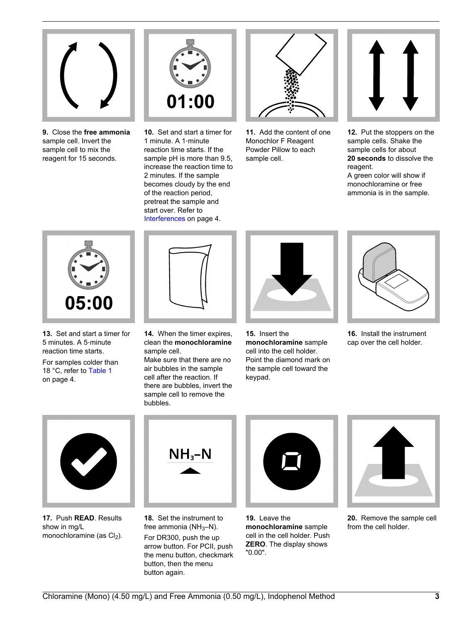

**9.** Close the **free ammonia** sample cell. Invert the sample cell to mix the reagent for 15 seconds.



**10.** Set and start a timer for 1 minute. A 1‑minute reaction time starts. If the sample pH is more than 9.5, increase the reaction time to 2 minutes. If the sample becomes cloudy by the end of the reaction period, pretreat the sample and start over. Refer to [Interferences](#page-3-0) on page 4.



**11.** Add the content of one Monochlor F Reagent Powder Pillow to each sample cell.



**12.** Put the stoppers on the sample cells. Shake the sample cells for about **20 seconds** to dissolve the reagent. A green color will show if

monochloramine or free ammonia is in the sample.



**13.** Set and start a timer for 5 minutes. A 5‑minute reaction time starts.

For samples colder than 18 °C, refer to [Table 1](#page-3-0) on page 4.



**14.** When the timer expires, clean the **monochloramine** sample cell.

Make sure that there are no air bubbles in the sample cell after the reaction. If there are bubbles, invert the sample cell to remove the bubbles.



**15.** Insert the **monochloramine** sample cell into the cell holder. Point the diamond mark on the sample cell toward the keypad.



**16.** Install the instrument cap over the cell holder.



**17.** Push **READ**. Results show in mg/L monochloramine (as  $Cl<sub>2</sub>$ ).



**18.** Set the instrument to free ammonia ( $NH<sub>3</sub>-N$ ).

For DR300, push the up arrow button. For PCII, push the menu button, checkmark button, then the menu button again.



**19.** Leave the **monochloramine** sample cell in the cell holder. Push **ZERO**. The display shows "0.00".



**20.** Remove the sample cell from the cell holder.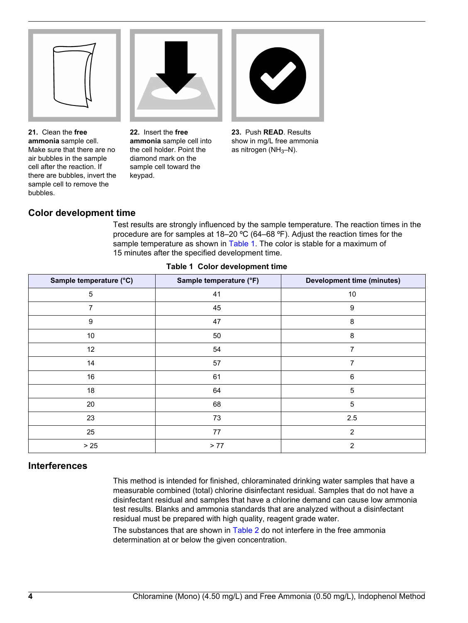<span id="page-3-0"></span>

**21.** Clean the **free ammonia** sample cell. Make sure that there are no air bubbles in the sample cell after the reaction. If there are bubbles, invert the sample cell to remove the bubbles.

**22.** Insert the **free ammonia** sample cell into the cell holder. Point the diamond mark on the sample cell toward the keypad.



**23.** Push **READ**. Results show in mg/L free ammonia as nitrogen  $(NH_3-N)$ .

## **Color development time**

Test results are strongly influenced by the sample temperature. The reaction times in the procedure are for samples at 18–20 ºC (64–68 ºF). Adjust the reaction times for the sample temperature as shown in Table 1. The color is stable for a maximum of 15 minutes after the specified development time.

| Sample temperature (°C) | Sample temperature (°F) | <b>Development time (minutes)</b> |
|-------------------------|-------------------------|-----------------------------------|
| 5                       | 41                      | 10                                |
| 7                       | 45                      | 9                                 |
| 9                       | 47                      | 8                                 |
| $10$                    | 50                      | 8                                 |
| 12                      | 54                      | 7                                 |
| 14                      | 57                      | $\overline{7}$                    |
| 16                      | 61                      | 6                                 |
| 18                      | 64                      | 5                                 |
| 20                      | 68                      | 5                                 |
| 23                      | 73                      | 2.5                               |
| 25                      | 77                      | 2                                 |
| $>25$                   | $>77$                   | $\overline{2}$                    |

#### **Table 1 Color development time**

#### **Interferences**

This method is intended for finished, chloraminated drinking water samples that have a measurable combined (total) chlorine disinfectant residual. Samples that do not have a disinfectant residual and samples that have a chlorine demand can cause low ammonia test results. Blanks and ammonia standards that are analyzed without a disinfectant residual must be prepared with high quality, reagent grade water.

The substances that are shown in [Table 2](#page-4-0) do not interfere in the free ammonia determination at or below the given concentration.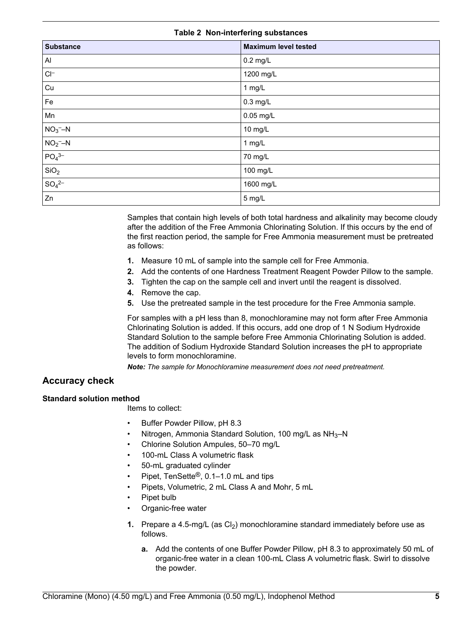#### **Table 2 Non-interfering substances**

<span id="page-4-0"></span>

| <b>Substance</b>        | <b>Maximum level tested</b> |
|-------------------------|-----------------------------|
| $\mathsf{Al}$           | $0.2$ mg/L                  |
| $Cl^-$                  | 1200 mg/L                   |
| Cu                      | 1 mg/L                      |
| Fe                      | $0.3$ mg/L                  |
| Mn                      | 0.05 mg/L                   |
| $NO3 - N$               | 10 mg/L                     |
| $NO2$ -N                | $1$ mg/L                    |
| $PO_{4}^{3-}$           | 70 mg/L                     |
| SiO <sub>2</sub>        | 100 mg/L                    |
| $\frac{1}{SO_4{}^{2-}}$ | 1600 mg/L                   |
| Zn                      | 5 mg/L                      |

Samples that contain high levels of both total hardness and alkalinity may become cloudy after the addition of the Free Ammonia Chlorinating Solution. If this occurs by the end of the first reaction period, the sample for Free Ammonia measurement must be pretreated as follows:

- **1.** Measure 10 mL of sample into the sample cell for Free Ammonia.
- **2.** Add the contents of one Hardness Treatment Reagent Powder Pillow to the sample.
- **3.** Tighten the cap on the sample cell and invert until the reagent is dissolved.
- **4.** Remove the cap.
- **5.** Use the pretreated sample in the test procedure for the Free Ammonia sample.

For samples with a pH less than 8, monochloramine may not form after Free Ammonia Chlorinating Solution is added. If this occurs, add one drop of 1 N Sodium Hydroxide Standard Solution to the sample before Free Ammonia Chlorinating Solution is added. The addition of Sodium Hydroxide Standard Solution increases the pH to appropriate levels to form monochloramine.

*Note: The sample for Monochloramine measurement does not need pretreatment.*

## **Accuracy check**

#### **Standard solution method**

Items to collect:

- Buffer Powder Pillow, pH 8.3
- Nitrogen, Ammonia Standard Solution, 100 mg/L as NH3–N
- Chlorine Solution Ampules, 50–70 mg/L
- 100-mL Class A volumetric flask
- 50-mL graduated cylinder
- Pipet, TenSette®, 0.1–1.0 mL and tips
- Pipets, Volumetric, 2 mL Class A and Mohr, 5 mL
- Pipet bulb
- Organic-free water
- **1.** Prepare a 4.5-mg/L (as Cl<sub>2</sub>) monochloramine standard immediately before use as follows.
	- **a.** Add the contents of one Buffer Powder Pillow, pH 8.3 to approximately 50 mL of organic-free water in a clean 100-mL Class A volumetric flask. Swirl to dissolve the powder.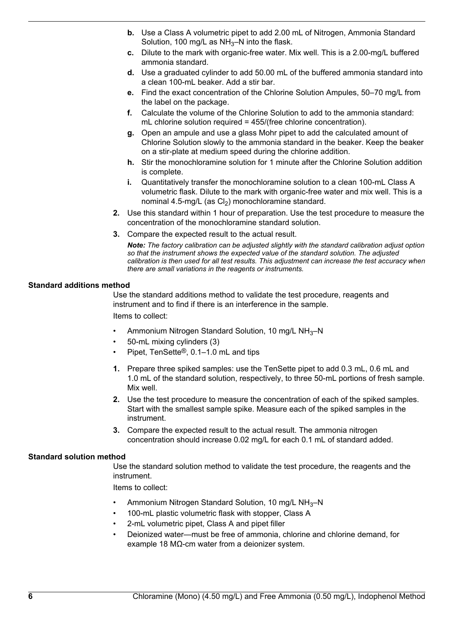- **b.** Use a Class A volumetric pipet to add 2.00 mL of Nitrogen, Ammonia Standard Solution, 100 mg/L as  $NH<sub>3</sub>$ –N into the flask.
- **c.** Dilute to the mark with organic-free water. Mix well. This is a 2.00-mg/L buffered ammonia standard.
- **d.** Use a graduated cylinder to add 50.00 mL of the buffered ammonia standard into a clean 100-mL beaker. Add a stir bar.
- **e.** Find the exact concentration of the Chlorine Solution Ampules, 50–70 mg/L from the label on the package.
- **f.** Calculate the volume of the Chlorine Solution to add to the ammonia standard: mL chlorine solution required = 455/(free chlorine concentration).
- **g.** Open an ampule and use a glass Mohr pipet to add the calculated amount of Chlorine Solution slowly to the ammonia standard in the beaker. Keep the beaker on a stir-plate at medium speed during the chlorine addition.
- **h.** Stir the monochloramine solution for 1 minute after the Chlorine Solution addition is complete.
- **i.** Quantitatively transfer the monochloramine solution to a clean 100-mL Class A volumetric flask. Dilute to the mark with organic-free water and mix well. This is a nominal 4.5-mg/L (as  $Cl<sub>2</sub>$ ) monochloramine standard.
- **2.** Use this standard within 1 hour of preparation. Use the test procedure to measure the concentration of the monochloramine standard solution.
- **3.** Compare the expected result to the actual result.

*Note: The factory calibration can be adjusted slightly with the standard calibration adjust option so that the instrument shows the expected value of the standard solution. The adjusted calibration is then used for all test results. This adjustment can increase the test accuracy when there are small variations in the reagents or instruments.*

#### **Standard additions method**

Use the standard additions method to validate the test procedure, reagents and instrument and to find if there is an interference in the sample. Items to collect:

- Ammonium Nitrogen Standard Solution, 10 mg/L NH<sub>3</sub>-N
- 50-mL mixing cylinders (3)
- Pipet, TenSette®, 0.1–1.0 mL and tips
- **1.** Prepare three spiked samples: use the TenSette pipet to add 0.3 mL, 0.6 mL and 1.0 mL of the standard solution, respectively, to three 50-mL portions of fresh sample. Mix well.
- **2.** Use the test procedure to measure the concentration of each of the spiked samples. Start with the smallest sample spike. Measure each of the spiked samples in the instrument.
- **3.** Compare the expected result to the actual result. The ammonia nitrogen concentration should increase 0.02 mg/L for each 0.1 mL of standard added.

#### **Standard solution method**

Use the standard solution method to validate the test procedure, the reagents and the instrument.

Items to collect:

- Ammonium Nitrogen Standard Solution, 10 mg/L NH3–N
- 100-mL plastic volumetric flask with stopper, Class A
- 2-mL volumetric pipet, Class A and pipet filler
- Deionized water—must be free of ammonia, chlorine and chlorine demand, for example 18 MΩ-cm water from a deionizer system.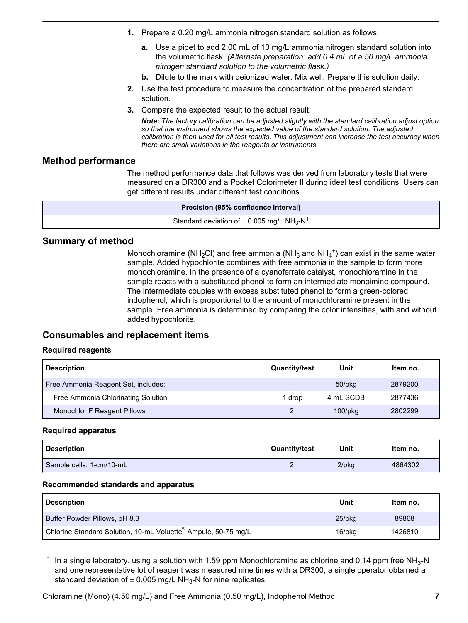- <span id="page-6-0"></span>**1.** Prepare a 0.20 mg/L ammonia nitrogen standard solution as follows:
	- **a.** Use a pipet to add 2.00 mL of 10 mg/L ammonia nitrogen standard solution into the volumetric flask. *(Alternate preparation: add 0.4 mL of a 50 mg/L ammonia nitrogen standard solution to the volumetric flask.)*
	- **b.** Dilute to the mark with deionized water. Mix well. Prepare this solution daily.
- **2.** Use the test procedure to measure the concentration of the prepared standard solution.
- **3.** Compare the expected result to the actual result.

*Note: The factory calibration can be adjusted slightly with the standard calibration adjust option so that the instrument shows the expected value of the standard solution. The adjusted calibration is then used for all test results. This adjustment can increase the test accuracy when there are small variations in the reagents or instruments.*

## **Method performance**

The method performance data that follows was derived from laboratory tests that were measured on a DR300 and a Pocket Colorimeter II during ideal test conditions. Users can get different results under different test conditions.

| <b>Precision (95% confidence interval)</b>                             |  |
|------------------------------------------------------------------------|--|
| Standard deviation of $\pm$ 0.005 mg/L NH <sub>3</sub> -N <sup>1</sup> |  |

## **Summary of method**

Monochloramine (NH<sub>2</sub>Cl) and free ammonia (NH<sub>3</sub> and NH<sub>4</sub><sup>+</sup>) can exist in the same water sample. Added hypochlorite combines with free ammonia in the sample to form more monochloramine. In the presence of a cyanoferrate catalyst, monochloramine in the sample reacts with a substituted phenol to form an intermediate monoimine compound. The intermediate couples with excess substituted phenol to form a green-colored indophenol, which is proportional to the amount of monochloramine present in the sample. Free ammonia is determined by comparing the color intensities, with and without added hypochlorite.

## **Consumables and replacement items**

#### **Required reagents**

| <b>Description</b>                  | <b>Quantity/test</b> | Unit          | Item no. |
|-------------------------------------|----------------------|---------------|----------|
| Free Ammonia Reagent Set, includes: |                      | $50$ /p $kg$  | 2879200  |
| Free Ammonia Chlorinating Solution  | drop                 | 4 mL SCDB     | 2877436  |
| Monochlor F Reagent Pillows         |                      | $100$ /p $kg$ | 2802299  |

#### **Required apparatus**

| <b>Description</b>       | <b>Quantity/test</b> | Unit     | Item no. |
|--------------------------|----------------------|----------|----------|
| Sample cells, 1-cm/10-mL |                      | $2$ /pkg | 4864302  |

#### **Recommended standards and apparatus**

| <b>Description</b>                                             | Unit      | Item no. |
|----------------------------------------------------------------|-----------|----------|
| Buffer Powder Pillows, pH 8.3                                  | $25$ /pkq | 89868    |
| Chlorine Standard Solution, 10-mL Voluette® Ampule, 50-75 mg/L | 16/pkg    | 1426810  |

<sup>&</sup>lt;sup>1</sup> In a single laboratory, using a solution with 1.59 ppm Monochloramine as chlorine and 0.14 ppm free NH<sub>3</sub>-N and one representative lot of reagent was measured nine times with a DR300, a single operator obtained a standard deviation of  $\pm$  0.005 mg/L NH<sub>3</sub>-N for nine replicates.